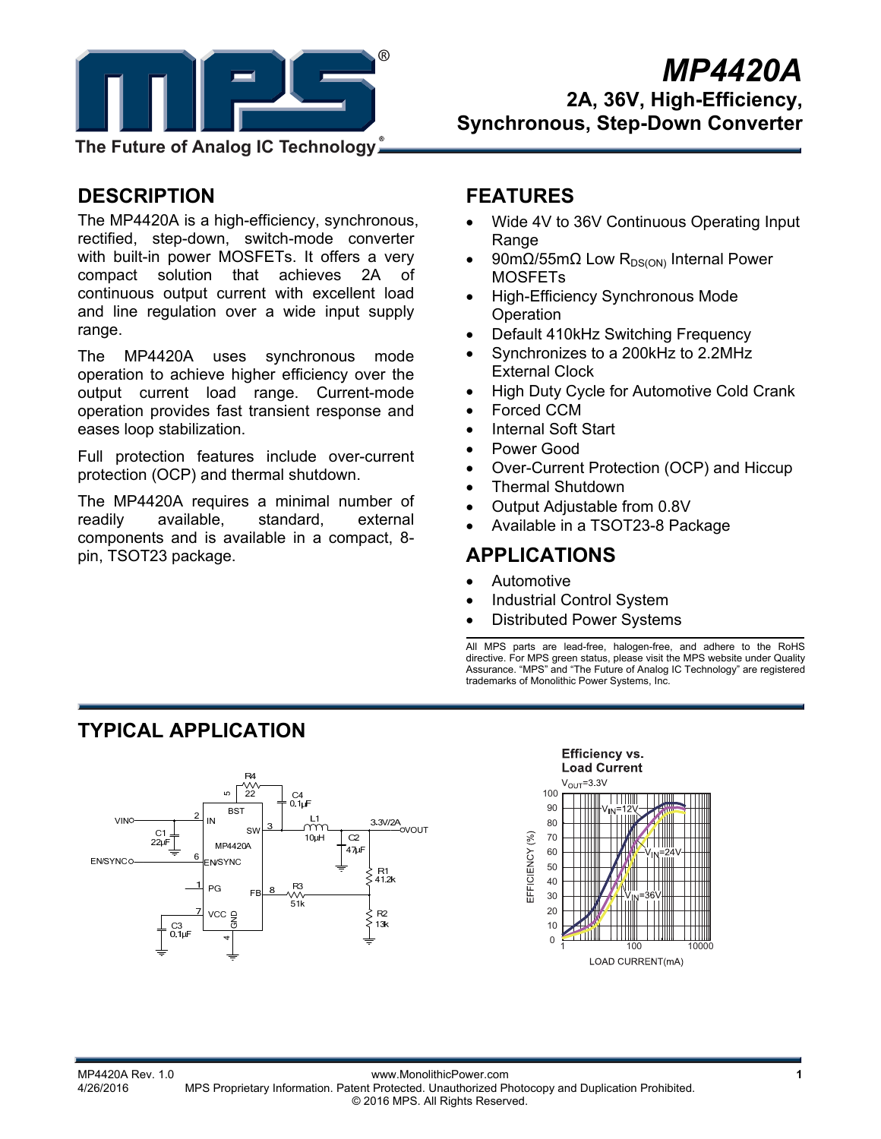

# *MP4420A*

**2A, 36V, High-Efficiency, Synchronous, Step-Down Converter** 

**The Future of Analog IC Technology**

# **DESCRIPTION**

The MP4420A is a high-efficiency, synchronous, rectified, step-down, switch-mode converter with built-in power MOSFETs. It offers a very compact solution that achieves 2A of continuous output current with excellent load and line regulation over a wide input supply range.

The MP4420A uses synchronous mode operation to achieve higher efficiency over the output current load range. Current-mode operation provides fast transient response and eases loop stabilization.

Full protection features include over-current protection (OCP) and thermal shutdown.

The MP4420A requires a minimal number of readily available, standard, external components and is available in a compact, 8 pin, TSOT23 package.

# **FEATURES**

- Wide 4V to 36V Continuous Operating Input Range
- 90mΩ/55mΩ Low R<sub>DS(ON)</sub> Internal Power MOSFETs
- High-Efficiency Synchronous Mode **Operation**
- Default 410kHz Switching Frequency
- Synchronizes to a 200kHz to 2.2MHz External Clock
- High Duty Cycle for Automotive Cold Crank
- Forced CCM
- Internal Soft Start
- Power Good
- Over-Current Protection (OCP) and Hiccup
- Thermal Shutdown
- Output Adjustable from 0.8V
- Available in a TSOT23-8 Package

# **APPLICATIONS**

- Automotive
- Industrial Control System
- Distributed Power Systems

All MPS parts are lead-free, halogen-free, and adhere to the RoHS directive. For MPS green status, please visit the MPS website under Quality Assurance. "MPS" and "The Future of Analog IC Technology" are registered trademarks of Monolithic Power Systems, Inc.

# **TYPICAL APPLICATION**





MP4420A Rev. 1.0<br>4/26/2016 www.MonolithicPower.com<br>A/26/2016 MPS Proprietary Information Patent Protected Unauthorized Ph MPS Proprietary Information. Patent Protected. Unauthorized Photocopy and Duplication Prohibited. © 2016 MPS. All Rights Reserved.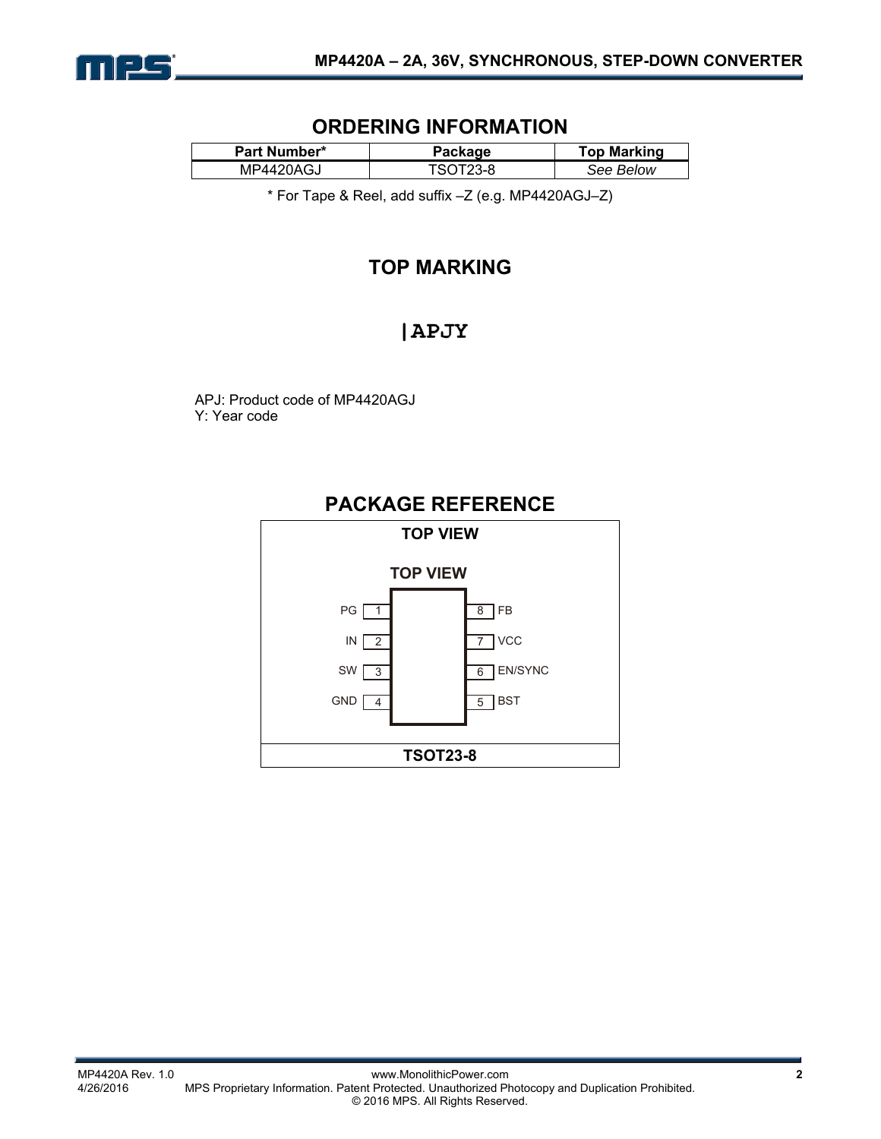

# **ORDERING INFORMATION**

| <b>Part Number*</b> | Package  | <b>Top Marking</b> |  |
|---------------------|----------|--------------------|--|
| MP4420AGJ           | TSOT23-8 | See Below          |  |

\* For Tape & Reel, add suffix –Z (e.g. MP4420AGJ–Z)

# **TOP MARKING**

# | APJY

APJ: Product code of MP4420AGJ Y: Year code

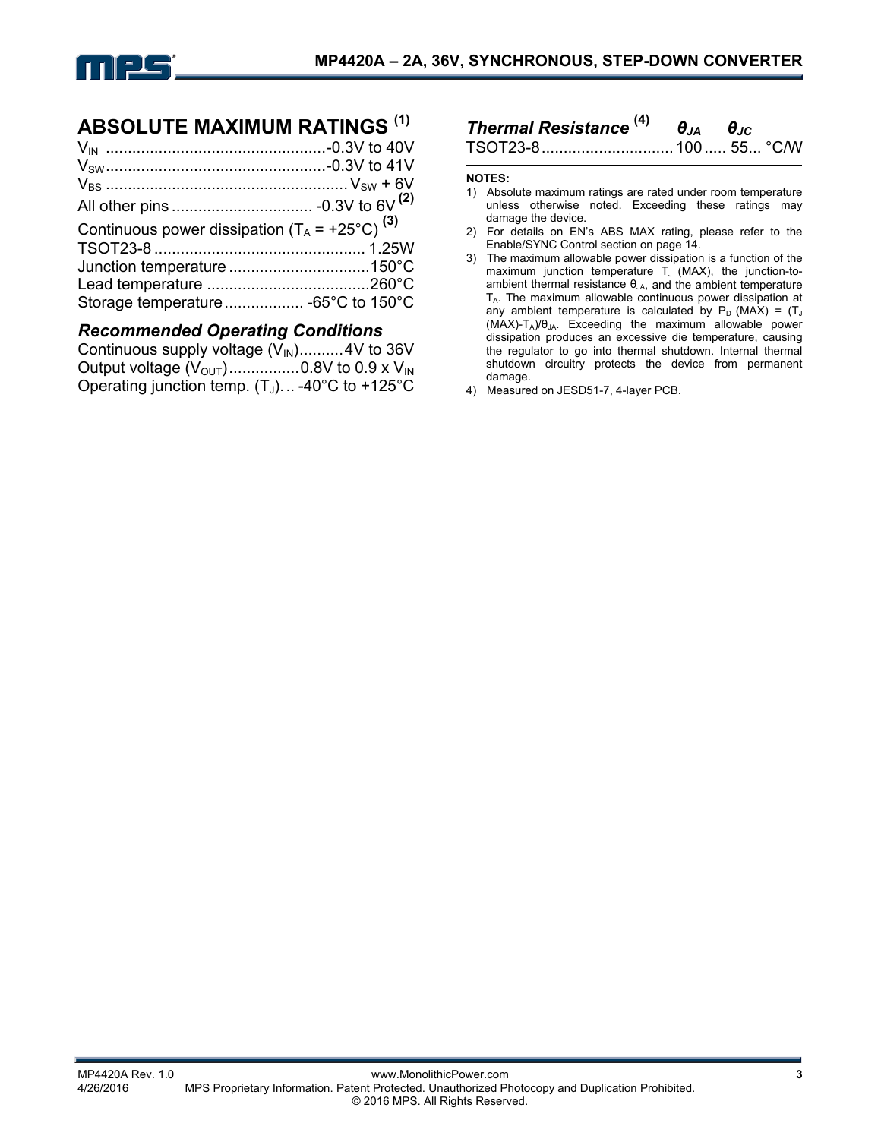

# **ABSOLUTE MAXIMUM RATINGS (1)**

| Continuous power dissipation $(T_A = +25^{\circ}C)^{(3)}$ |  |
|-----------------------------------------------------------|--|
|                                                           |  |
|                                                           |  |
|                                                           |  |
|                                                           |  |

#### *Recommended Operating Conditions*

| Continuous supply voltage $(V_{\text{IN}})$ 4V to 36V           |  |
|-----------------------------------------------------------------|--|
| Output voltage $(V_{\text{OUT}})$ 0.8V to 0.9 x $V_{\text{IN}}$ |  |
| Operating junction temp. $(T_J)$ -40°C to +125°C                |  |

# *Thermal Resistance* **(4)** *θJA θJC*

TSOT23-8.............................. 100..... 55... °C/W

#### **NOTES:**

- 1) Absolute maximum ratings are rated under room temperature unless otherwise noted. Exceeding these ratings may damage the device.
- 2) For details on EN's ABS MAX rating, please refer to the Enable/SYNC Control section on page 14.
- 3) The maximum allowable power dissipation is a function of the maximum junction temperature  $T_J$  (MAX), the junction-toambient thermal resistance  $\theta_{JA}$ , and the ambient temperature TA. The maximum allowable continuous power dissipation at any ambient temperature is calculated by  $P_D$  (MAX) = (T<sub>J</sub> (MAX)-TA)/θJA. Exceeding the maximum allowable power dissipation produces an excessive die temperature, causing the regulator to go into thermal shutdown. Internal thermal shutdown circuitry protects the device from permanent damage.
- 4) Measured on JESD51-7, 4-layer PCB.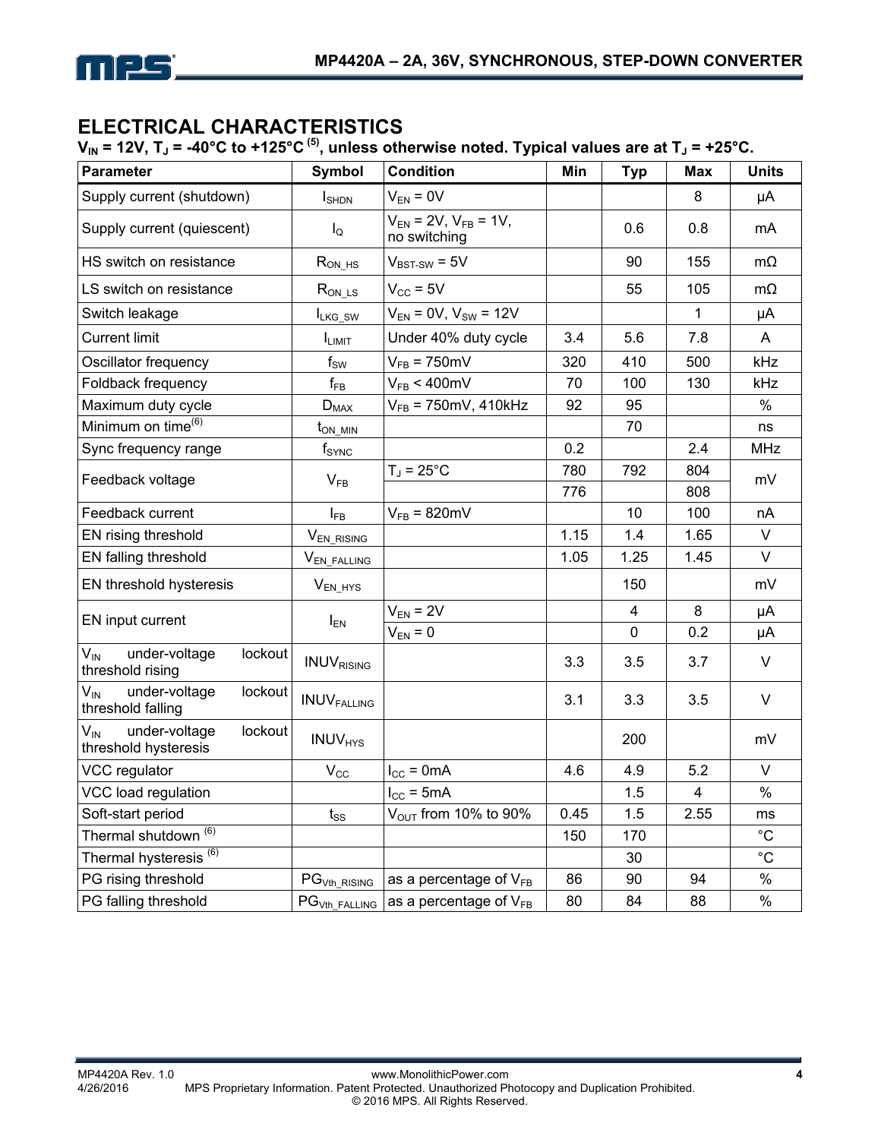

# **ELECTRICAL CHARACTERISTICS**

 $V_{IN}$  = 12V, T<sub>J</sub> = -40°C to +125°C<sup>(5)</sup>, unless otherwise noted. Typical values are at T<sub>J</sub> = +25°C.

| <b>Parameter</b>                                                    | Symbol                     | <b>Condition</b>                              | Min  | <b>Typ</b>     | <b>Max</b> | <b>Units</b> |
|---------------------------------------------------------------------|----------------------------|-----------------------------------------------|------|----------------|------------|--------------|
| Supply current (shutdown)                                           | $I_{\text{SHDN}}$          | $V_{EN} = 0V$                                 |      |                | 8          | μA           |
| Supply current (quiescent)                                          | $I_{\mathsf{Q}}$           | $V_{EN}$ = 2V, $V_{FB}$ = 1V,<br>no switching |      | 0.6            | 0.8        | mA           |
| HS switch on resistance                                             | $R_{ON_HS}$                | $V_{BST-SW} = 5V$                             |      | 90             | 155        | $m\Omega$    |
| LS switch on resistance                                             | $R_{ON\_\text{LS}}$        | $V_{CC}$ = 5V                                 |      | 55             | 105        | $m\Omega$    |
| Switch leakage                                                      | ILKG_SW                    | $V_{EN} = 0V$ , $V_{SW} = 12V$                |      |                | 1          | μA           |
| <b>Current limit</b>                                                | I <sub>LIMIT</sub>         | Under 40% duty cycle                          | 3.4  | 5.6            | 7.8        | A            |
| Oscillator frequency                                                | $\mathsf{f}_\mathsf{SW}$   | $V_{FB}$ = 750mV                              | 320  | 410            | 500        | kHz          |
| Foldback frequency                                                  | $f_{FB}$                   | $V_{FB}$ < 400mV                              | 70   | 100            | 130        | kHz          |
| Maximum duty cycle                                                  | $D_{MAX}$                  | $V_{FB}$ = 750mV, 410kHz                      | 92   | 95             |            | $\%$         |
| Minimum on time <sup>(6)</sup>                                      | $t_{\rm ON\_MIN}$          |                                               |      | 70             |            | ns           |
| Sync frequency range                                                | $f_{\text{SYNC}}$          |                                               | 0.2  |                | 2.4        | <b>MHz</b>   |
| Feedback voltage                                                    |                            | $T_J = 25^{\circ}C$                           | 780  | 792            | 804        | mV           |
|                                                                     | $V_{FB}$                   |                                               | 776  |                | 808        |              |
| Feedback current                                                    | $I_{FB}$                   | $V_{FB}$ = 820mV                              |      | 10             | 100        | nA           |
| EN rising threshold                                                 | V <sub>EN_RISING</sub>     |                                               | 1.15 | 1.4            | 1.65       | V            |
| EN falling threshold                                                | V <sub>EN_FALLING</sub>    |                                               | 1.05 | 1.25           | 1.45       | V            |
| EN threshold hysteresis                                             | $V_{EN_HYS}$               |                                               |      | 150            |            | mV           |
| EN input current                                                    | $I_{EN}$                   | $V_{EN} = 2V$                                 |      | $\overline{4}$ | 8          | μA           |
|                                                                     |                            | $V_{EN} = 0$                                  |      | $\mathbf 0$    | 0.2        | μA           |
| $V_{\text{IN}}$<br>under-voltage<br>lockout<br>threshold rising     | <b>INUVRISING</b>          |                                               | 3.3  | 3.5            | 3.7        | V            |
| $V_{\text{IN}}$<br>under-voltage<br>lockout<br>threshold falling    | <b>INUVFALLING</b>         |                                               | 3.1  | 3.3            | 3.5        | V            |
| $V_{\text{IN}}$<br>under-voltage<br>lockout<br>threshold hysteresis | <b>INUV<sub>HYS</sub></b>  |                                               |      | 200            |            | mV           |
| VCC regulator                                                       | $\mathsf{V}_{\mathsf{CC}}$ | $I_{\text{CC}} = 0 \text{mA}$                 | 4.6  | 4.9            | 5.2        | V            |
| VCC load regulation                                                 |                            | $I_{\text{CC}}$ = 5mA                         |      | 1.5            | 4          | $\%$         |
| Soft-start period                                                   | $t_{SS}$                   | V <sub>OUT</sub> from 10% to 90%              | 0.45 | 1.5            | 2.55       | ms           |
| Thermal shutdown <sup>(6)</sup>                                     |                            |                                               | 150  | 170            |            | $^{\circ}$ C |
| Thermal hysteresis <sup>(6)</sup>                                   |                            |                                               |      | 30             |            | $^{\circ}C$  |
| PG rising threshold                                                 | $PGVth_RISING$             | as a percentage of $V_{FB}$                   | 86   | 90             | 94         | $\%$         |
| PG falling threshold                                                | PG <sub>Vth_FALLING</sub>  | as a percentage of $V_{FB}$                   | 80   | 84             | 88         | %            |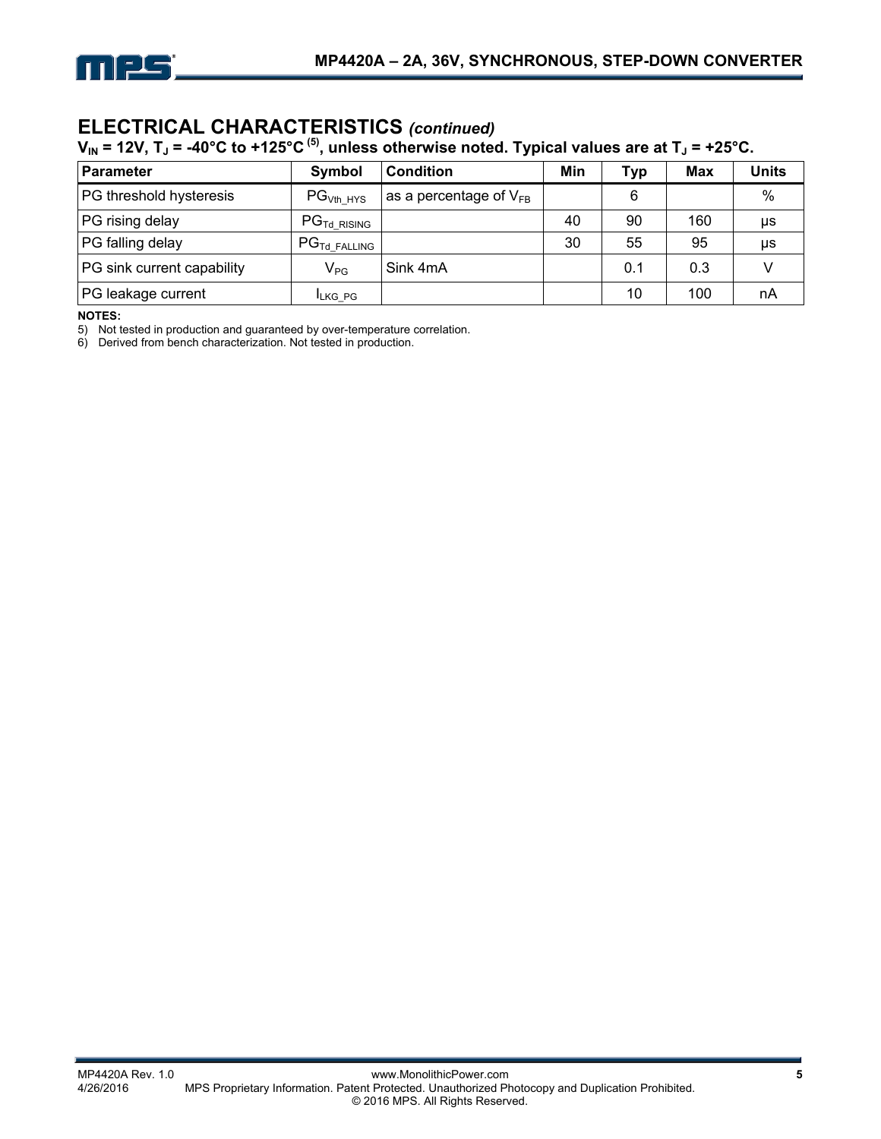

# **ELECTRICAL CHARACTERISTICS** *(continued)*

 $\bm{\mathsf{V}}_\textsf{IN}$  = 12V, T」 = -40°C to +125°C <sup>(5)</sup>, unless otherwise noted. Typical values are at T」 = +25°C.

| <b>Parameter</b>           | Symbol                             | <b>Condition</b>            | Min | Typ | <b>Max</b> | <b>Units</b> |
|----------------------------|------------------------------------|-----------------------------|-----|-----|------------|--------------|
| PG threshold hysteresis    | $PG_{Vth HYS}$                     | as a percentage of $V_{FB}$ |     | 6   |            | $\%$         |
| PG rising delay            | $\mathsf{PG}_{\mathsf{Td}}$ rising |                             | 40  | 90  | 160        | μs           |
| PG falling delay           | $PGTd$ Falling                     |                             | 30  | 55  | 95         | μs           |
| PG sink current capability | $V_{PG}$                           | Sink 4mA                    |     | 0.1 | 0.3        |              |
| PG leakage current         | <b>ILKG PG</b>                     |                             |     | 10  | 100        | nA           |

**NOTES:** 

5) Not tested in production and guaranteed by over-temperature correlation.

6) Derived from bench characterization. Not tested in production.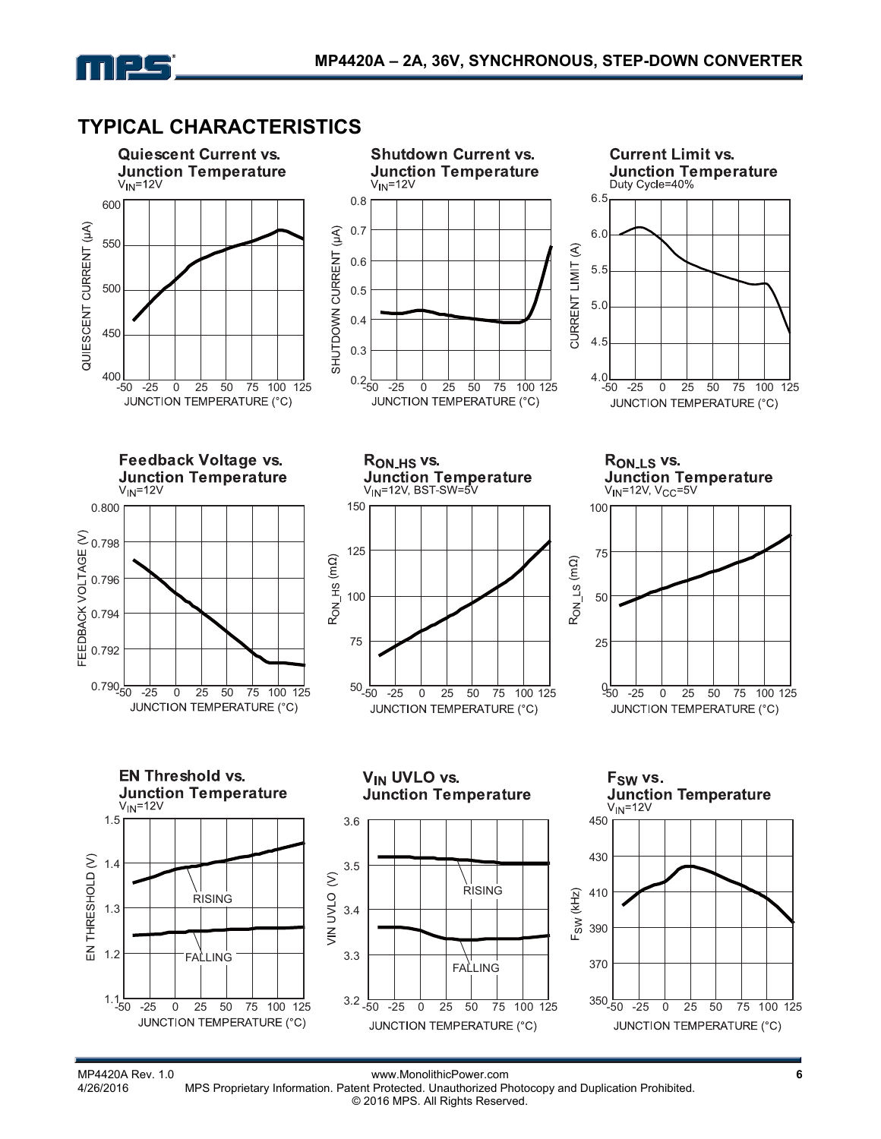

# **TYPICAL CHARACTERISTICS**

mes



MP4420A Rev. 1.0 **MP5 Proprietary Information. Patent Protected.** Unauthorized Photocopy and Duplication Prohibited. MPS Proprietary Information. Patent Protected. Unauthorized Photocopy and Duplication Prohibited. © 2016 MPS. All Rights Reserved.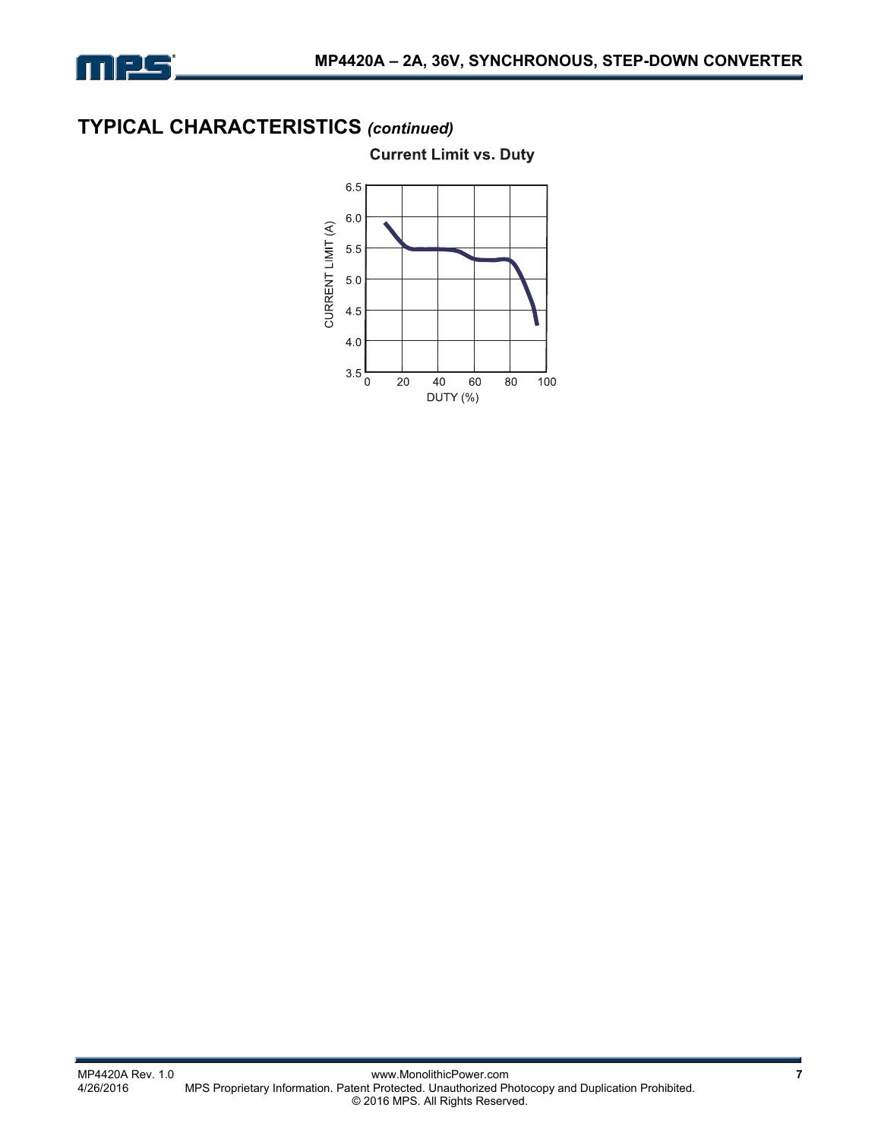

# **TYPICAL CHARACTERISTICS** *(continued)*

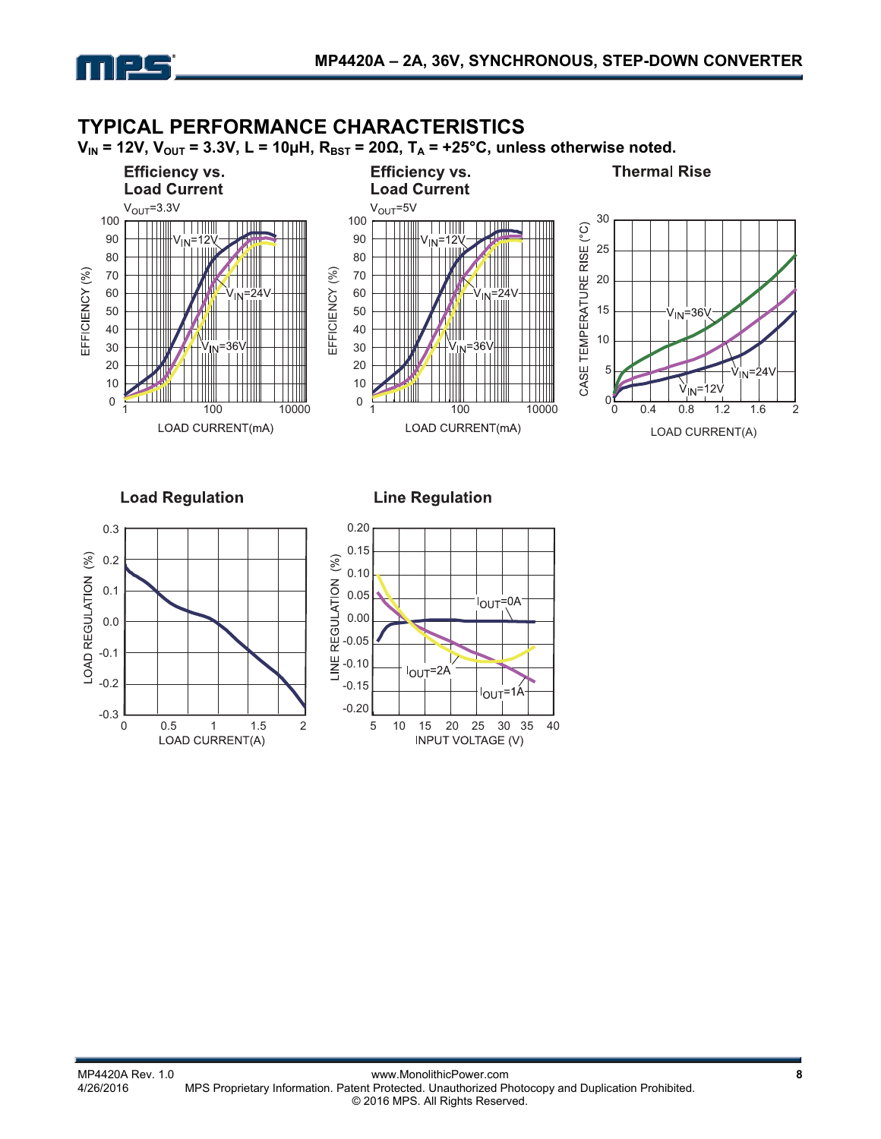

#### **TYPICAL PERFORMANCE CHARACTERISTICS**   $V_{IN}$  = 12V,  $V_{OUT}$  = 3.3V, L = 10µH,  $R_{BST}$  = 20 $\Omega$ ,  $T_A$  = +25°C, unless otherwise noted. **Thermal Rise Efficiency vs. Efficiency vs. Load Current Load Current**  $V<sub>OUT</sub>=3.3V$  $V_{OUT} = 5V$ 100 100 30 **TTTIII** CASE TEMPERATURE RISE (°C) TIII 90  $n = 12$ 90  $^{\prime}$ in=1 25 80 80 70 EFFICIENCY (%) 70 EFFICIENCY (%) EFFICIENCY (%) 20 Ш 60 60 15 50 50  $\rm{V_{IN}}$ =36 40 40 IIIII  $111$ VIIII  $\Box$ 10 30 30 20 20 5 10 10 V  $2\lambda$ IN۰ 0  $0\frac{V}{0}$ <sup>1</sup> 100 10000 <sup>0</sup> 100 10000 0 0.4 0.8 1.2 1.6 2LOAD CURRENT(mA) LOAD CURRENT(mA) LOAD CURRENT(A)

**Load Regulation** 

**Line Regulation** 



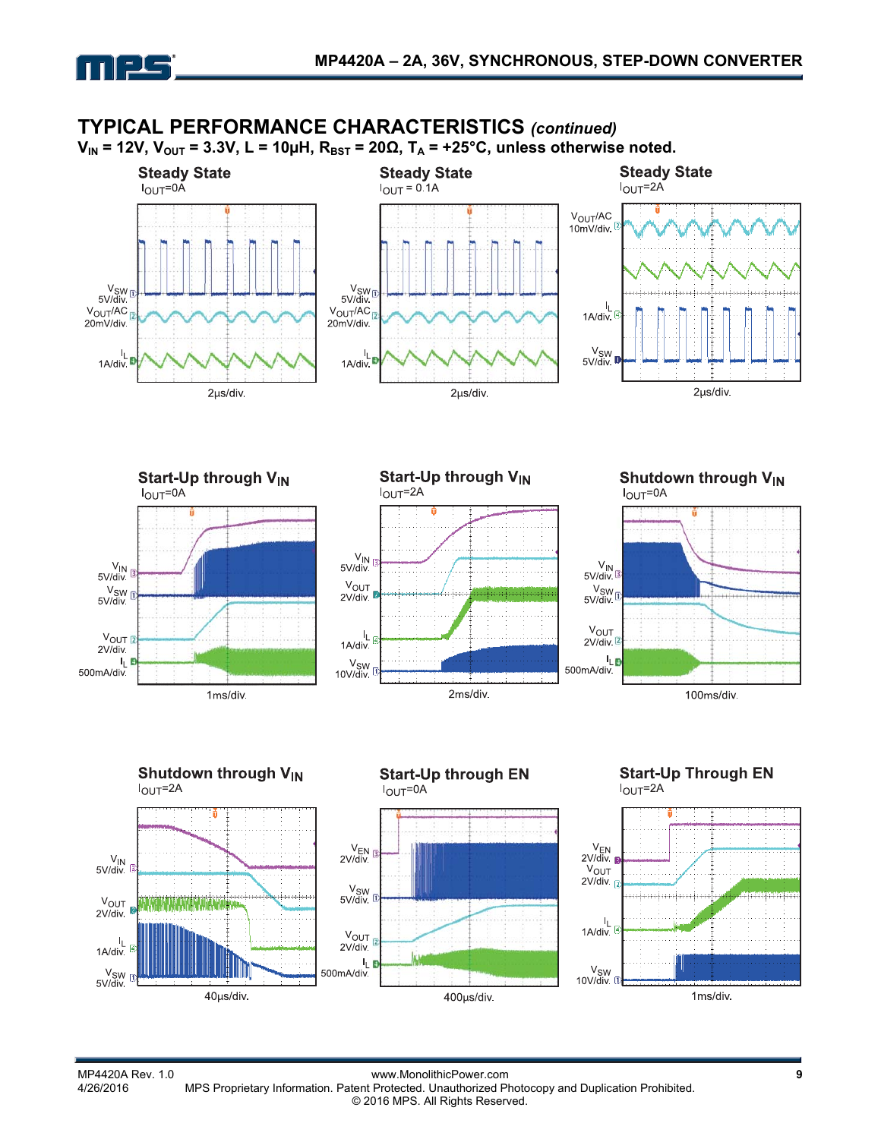



# **TYPICAL PERFORMANCE CHARACTERISTICS** *(continued)*





 $\frac{V_{IN}}{5 V/div}$ 

 $V_{OUT}$  $2V$ /div

 $1A/div$ 

 $\frac{V_{SW}}{5 V/div}$ 

ı,

MP4420A Rev. 1.0 www.MonolithicPower.com **9** MPS Proprietary Information. Patent Protected. Unauthorized Photocopy and Duplication Prohibited. © 2016 MPS. All Rights Reserved.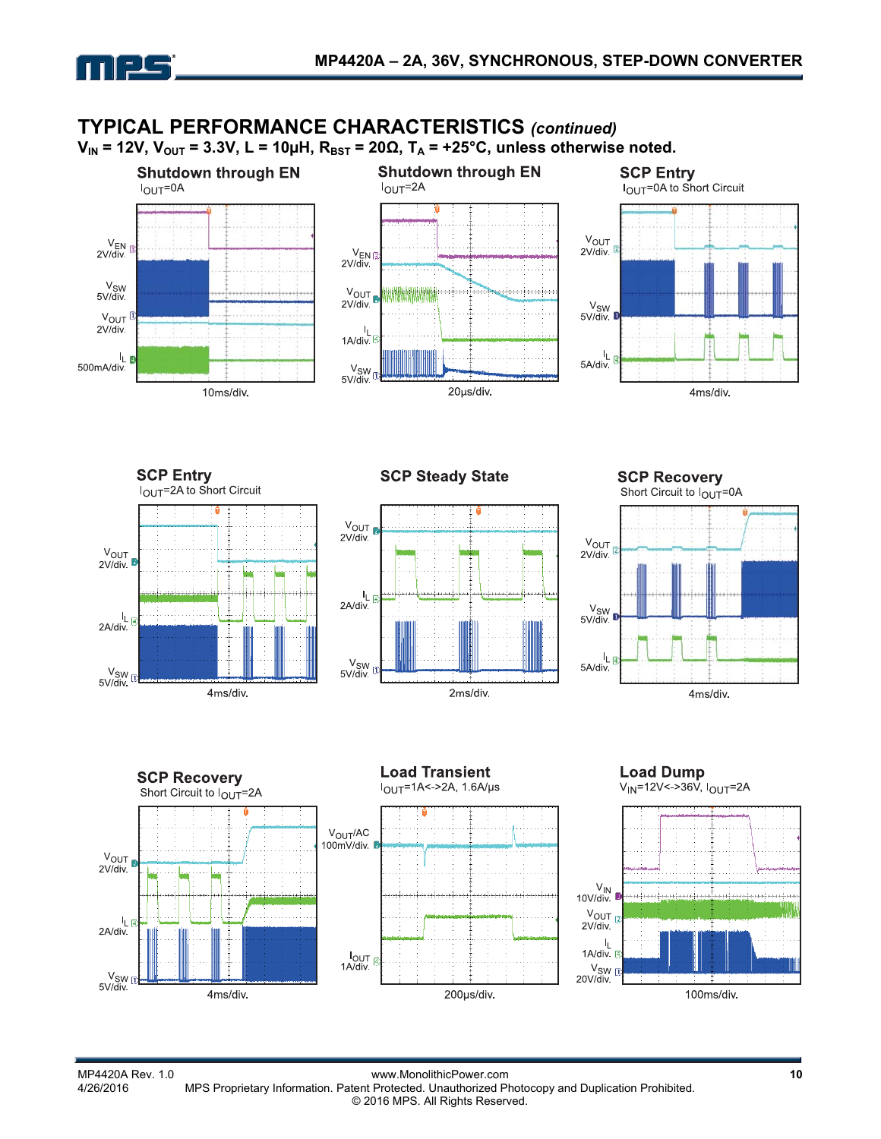

# **TYPICAL PERFORMANCE CHARACTERISTICS** *(continued)*

 $V_{IN}$  = 12V,  $V_{OUT}$  = 3.3V, L = 10µH,  $R_{BST}$  = 20 $\Omega$ ,  $T_A$  = +25°C, unless otherwise noted.





**SCP Steady State** 



**SCP Recovery** Short Circuit to  $I_{\text{OUT}}$ =0A



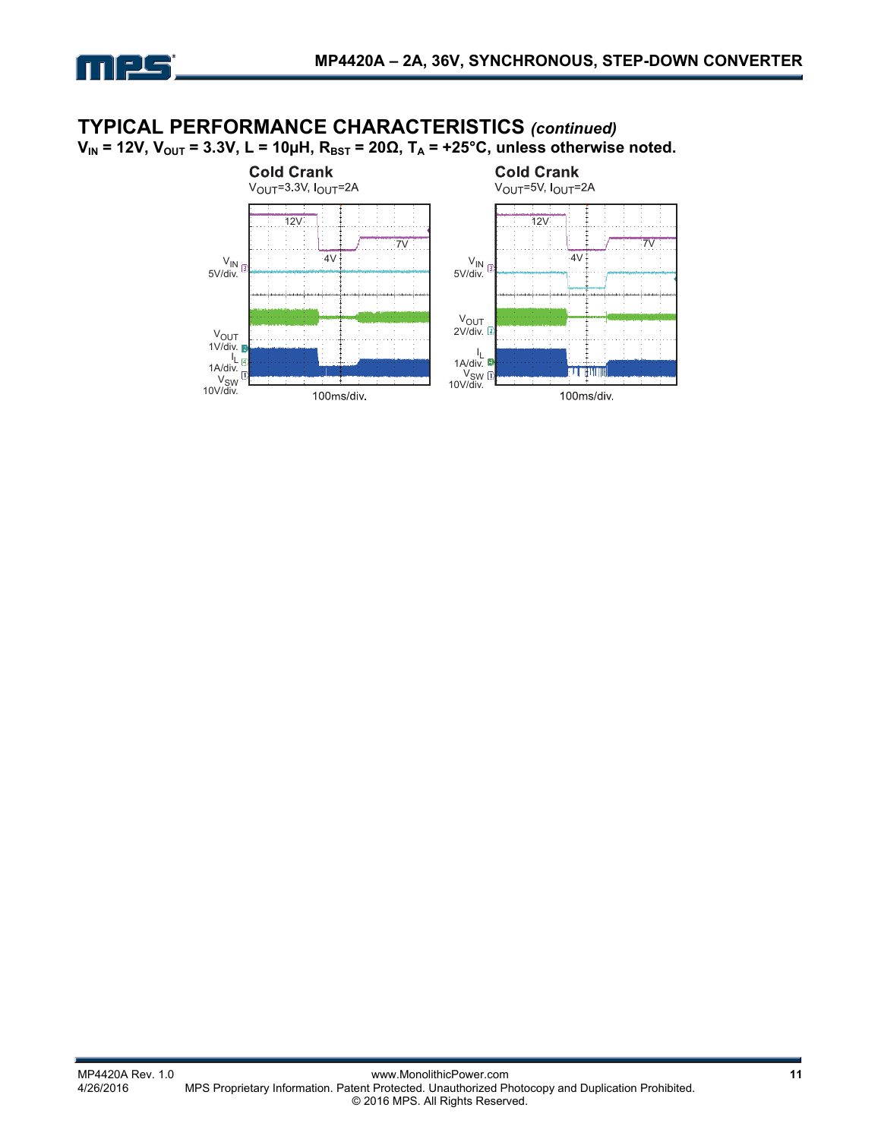

### **TYPICAL PERFORMANCE CHARACTERISTICS** *(continued)*  $V_{IN}$  = 12V,  $V_{OUT}$  = 3.3V, L = 10µH,  $R_{BST}$  = 20 $\Omega$ ,  $T_A$  = +25°C, unless otherwise noted.

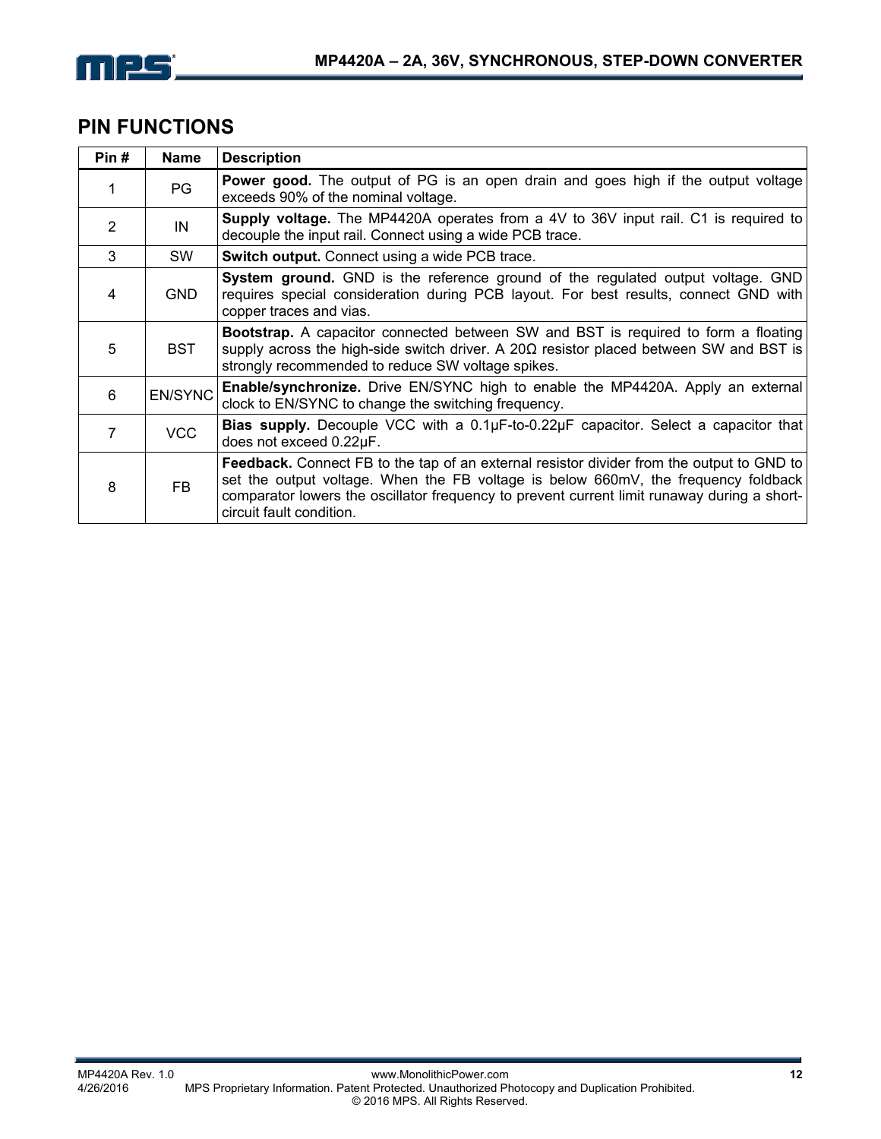

# **PIN FUNCTIONS**

| Pin# | <b>Name</b>    | <b>Description</b>                                                                                                                                                                                                                                                                                         |
|------|----------------|------------------------------------------------------------------------------------------------------------------------------------------------------------------------------------------------------------------------------------------------------------------------------------------------------------|
| 1    | PG             | <b>Power good.</b> The output of PG is an open drain and goes high if the output voltage<br>exceeds 90% of the nominal voltage.                                                                                                                                                                            |
| 2    | IN             | Supply voltage. The MP4420A operates from a 4V to 36V input rail. C1 is required to<br>decouple the input rail. Connect using a wide PCB trace.                                                                                                                                                            |
| 3    | <b>SW</b>      | <b>Switch output.</b> Connect using a wide PCB trace.                                                                                                                                                                                                                                                      |
| 4    | <b>GND</b>     | System ground. GND is the reference ground of the regulated output voltage. GND<br>requires special consideration during PCB layout. For best results, connect GND with<br>copper traces and vias.                                                                                                         |
| 5    | <b>BST</b>     | <b>Bootstrap.</b> A capacitor connected between SW and BST is required to form a floating<br>supply across the high-side switch driver. A $20\Omega$ resistor placed between SW and BST is<br>strongly recommended to reduce SW voltage spikes.                                                            |
| 6    | <b>EN/SYNC</b> | <b>Enable/synchronize.</b> Drive EN/SYNC high to enable the MP4420A. Apply an external<br>clock to EN/SYNC to change the switching frequency.                                                                                                                                                              |
| 7    | <b>VCC</b>     | Bias supply. Decouple VCC with a 0.1µF-to-0.22µF capacitor. Select a capacitor that<br>does not exceed 0.22µF.                                                                                                                                                                                             |
| 8    | <b>FB</b>      | Feedback. Connect FB to the tap of an external resistor divider from the output to GND to<br>set the output voltage. When the FB voltage is below 660mV, the frequency foldback<br>comparator lowers the oscillator frequency to prevent current limit runaway during a short-<br>circuit fault condition. |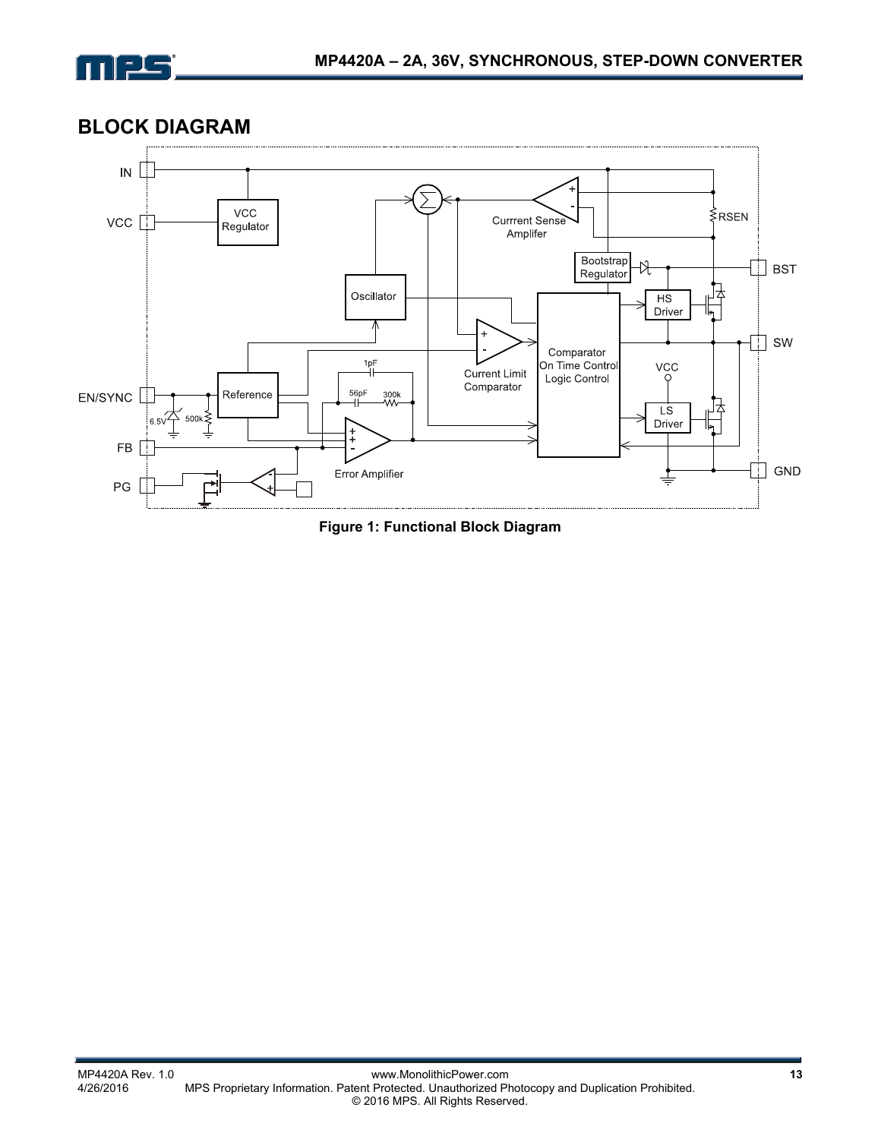

### **BLOCK DIAGRAM**



**Figure 1: Functional Block Diagram**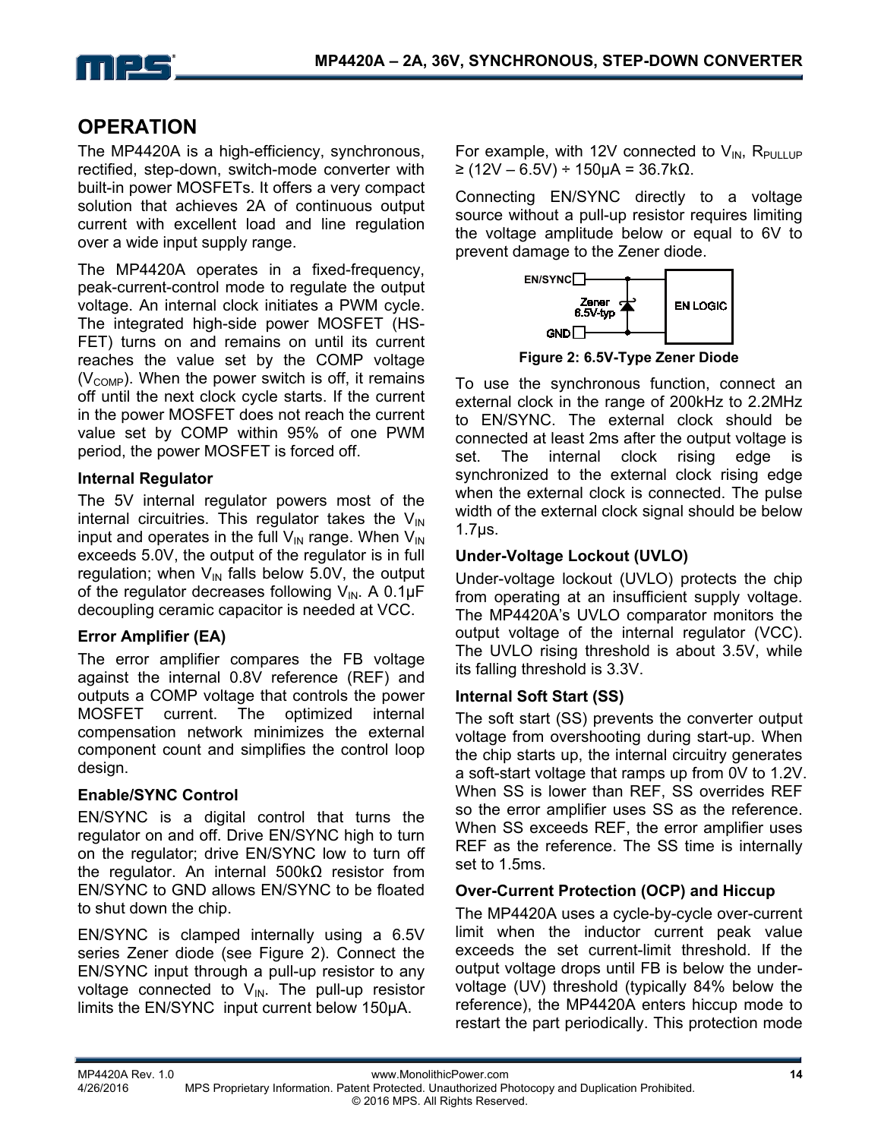

# **OPERATION**

The MP4420A is a high-efficiency, synchronous, rectified, step-down, switch-mode converter with built-in power MOSFETs. It offers a very compact solution that achieves 2A of continuous output current with excellent load and line regulation over a wide input supply range.

The MP4420A operates in a fixed-frequency, peak-current-control mode to regulate the output voltage. An internal clock initiates a PWM cycle. The integrated high-side power MOSFET (HS-FET) turns on and remains on until its current reaches the value set by the COMP voltage  $(V<sub>COMP</sub>)$ . When the power switch is off, it remains off until the next clock cycle starts. If the current in the power MOSFET does not reach the current value set by COMP within 95% of one PWM period, the power MOSFET is forced off.

#### **Internal Regulator**

The 5V internal regulator powers most of the internal circuitries. This regulator takes the  $V_{IN}$ input and operates in the full  $V_{IN}$  range. When  $V_{IN}$ exceeds 5.0V, the output of the regulator is in full regulation; when  $V_{IN}$  falls below 5.0V, the output of the regulator decreases following  $V_{\text{IN}}$ . A 0.1 $\mu$ F decoupling ceramic capacitor is needed at VCC.

#### **Error Amplifier (EA)**

The error amplifier compares the FB voltage against the internal 0.8V reference (REF) and outputs a COMP voltage that controls the power MOSFET current. The optimized internal compensation network minimizes the external component count and simplifies the control loop design.

#### **Enable/SYNC Control**

EN/SYNC is a digital control that turns the regulator on and off. Drive EN/SYNC high to turn on the regulator; drive EN/SYNC low to turn off the regulator. An internal 500kΩ resistor from EN/SYNC to GND allows EN/SYNC to be floated to shut down the chip.

EN/SYNC is clamped internally using a 6.5V series Zener diode (see Figure 2). Connect the EN/SYNC input through a pull-up resistor to any voltage connected to  $V_{\text{IN}}$ . The pull-up resistor limits the EN/SYNC input current below 150µA.

For example, with 12V connected to  $V_{IN}$ , R<sub>PULLUP</sub> ≥ (12V – 6.5V) ÷ 150µA = 36.7kΩ.

Connecting EN/SYNC directly to a voltage source without a pull-up resistor requires limiting the voltage amplitude below or equal to 6V to prevent damage to the Zener diode.



**Figure 2: 6.5V-Type Zener Diode** 

To use the synchronous function, connect an external clock in the range of 200kHz to 2.2MHz to EN/SYNC. The external clock should be connected at least 2ms after the output voltage is set. The internal clock rising edge is synchronized to the external clock rising edge when the external clock is connected. The pulse width of the external clock signal should be below 1.7μs.

#### **Under-Voltage Lockout (UVLO)**

Under-voltage lockout (UVLO) protects the chip from operating at an insufficient supply voltage. The MP4420A's UVLO comparator monitors the output voltage of the internal regulator (VCC). The UVLO rising threshold is about 3.5V, while its falling threshold is 3.3V.

#### **Internal Soft Start (SS)**

The soft start (SS) prevents the converter output voltage from overshooting during start-up. When the chip starts up, the internal circuitry generates a soft-start voltage that ramps up from 0V to 1.2V. When SS is lower than REF, SS overrides REF so the error amplifier uses SS as the reference. When SS exceeds REF, the error amplifier uses REF as the reference. The SS time is internally set to 1.5ms.

#### **Over-Current Protection (OCP) and Hiccup**

The MP4420A uses a cycle-by-cycle over-current limit when the inductor current peak value exceeds the set current-limit threshold. If the output voltage drops until FB is below the undervoltage (UV) threshold (typically 84% below the reference), the MP4420A enters hiccup mode to restart the part periodically. This protection mode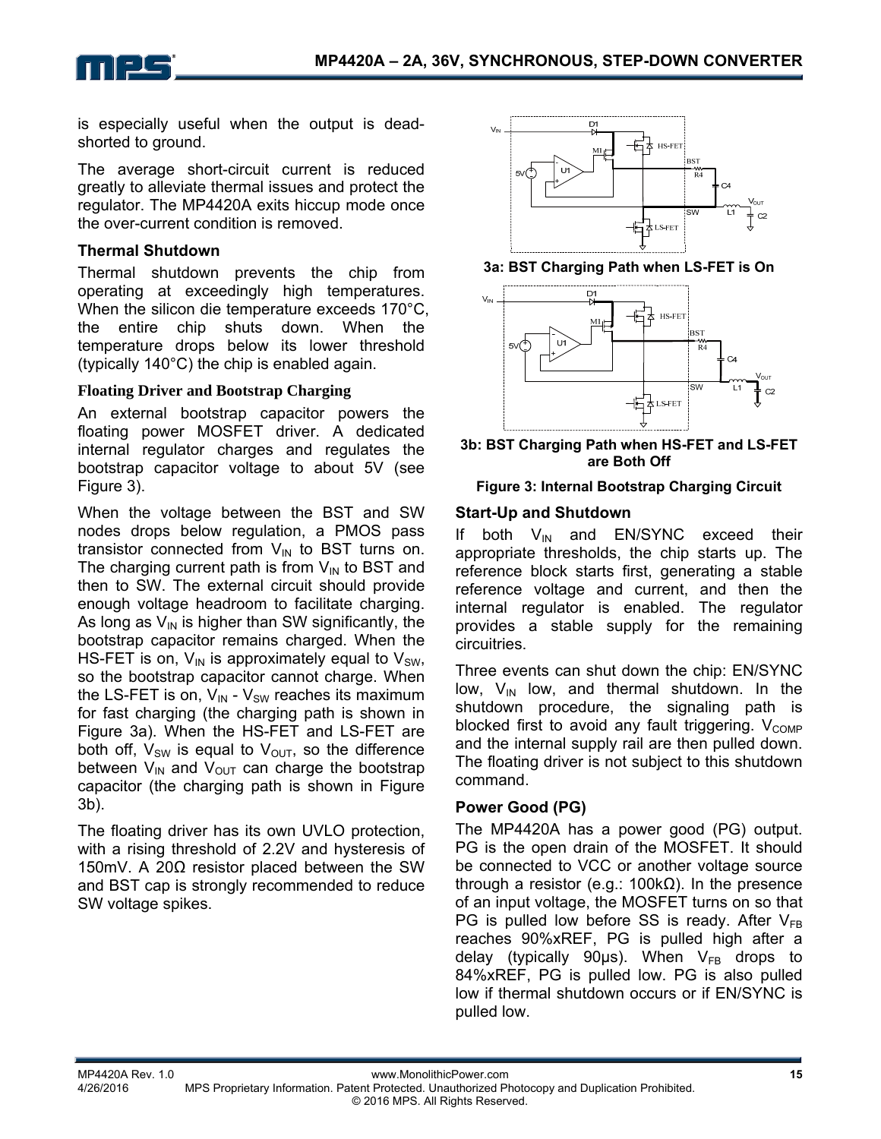

is especially useful when the output is deadshorted to ground.

The average short-circuit current is reduced greatly to alleviate thermal issues and protect the regulator. The MP4420A exits hiccup mode once the over-current condition is removed.

#### **Thermal Shutdown**

Thermal shutdown prevents the chip from operating at exceedingly high temperatures. When the silicon die temperature exceeds 170°C, the entire chip shuts down. When the temperature drops below its lower threshold (typically 140°C) the chip is enabled again.

#### **Floating Driver and Bootstrap Charging**

An external bootstrap capacitor powers the floating power MOSFET driver. A dedicated internal regulator charges and regulates the bootstrap capacitor voltage to about 5V (see Figure 3).

When the voltage between the BST and SW nodes drops below regulation, a PMOS pass transistor connected from  $V_{IN}$  to BST turns on. The charging current path is from  $V_{IN}$  to BST and then to SW. The external circuit should provide enough voltage headroom to facilitate charging. As long as  $V_{\text{IN}}$  is higher than SW significantly, the bootstrap capacitor remains charged. When the HS-FET is on,  $V_{IN}$  is approximately equal to  $V_{SW}$ , so the bootstrap capacitor cannot charge. When the LS-FET is on,  $V_{IN}$  -  $V_{SW}$  reaches its maximum for fast charging (the charging path is shown in Figure 3a). When the HS-FET and LS-FET are both off,  $V_{SW}$  is equal to  $V_{OUT}$ , so the difference between  $V_{\text{IN}}$  and  $V_{\text{OUT}}$  can charge the bootstrap capacitor (the charging path is shown in Figure 3b).

The floating driver has its own UVLO protection, with a rising threshold of 2.2V and hysteresis of 150mV. A 20Ω resistor placed between the SW and BST cap is strongly recommended to reduce SW voltage spikes.



**3a: BST Charging Path when LS-FET is On** 



**3b: BST Charging Path when HS-FET and LS-FET are Both Off** 

#### **Figure 3: Internal Bootstrap Charging Circuit**

#### **Start-Up and Shutdown**

If both  $V_{IN}$  and EN/SYNC exceed their appropriate thresholds, the chip starts up. The reference block starts first, generating a stable reference voltage and current, and then the internal regulator is enabled. The regulator provides a stable supply for the remaining circuitries.

Three events can shut down the chip: EN/SYNC low,  $V_{IN}$  low, and thermal shutdown. In the shutdown procedure, the signaling path is blocked first to avoid any fault triggering.  $V_{\text{COMP}}$ and the internal supply rail are then pulled down. The floating driver is not subject to this shutdown command.

#### **Power Good (PG)**

The MP4420A has a power good (PG) output. PG is the open drain of the MOSFET. It should be connected to VCC or another voltage source through a resistor (e.g.: 100kΩ). In the presence of an input voltage, the MOSFET turns on so that PG is pulled low before SS is ready. After  $V_{FR}$ reaches 90%xREF, PG is pulled high after a delay (typically 90 $\mu$ s). When V<sub>FB</sub> drops to 84%xREF, PG is pulled low. PG is also pulled low if thermal shutdown occurs or if EN/SYNC is pulled low.

MP4420A Rev. 1.0 www.MonolithicPower.com **15** MPS Proprietary Information. Patent Protected. Unauthorized Photocopy and Duplication Prohibited. © 2016 MPS. All Rights Reserved.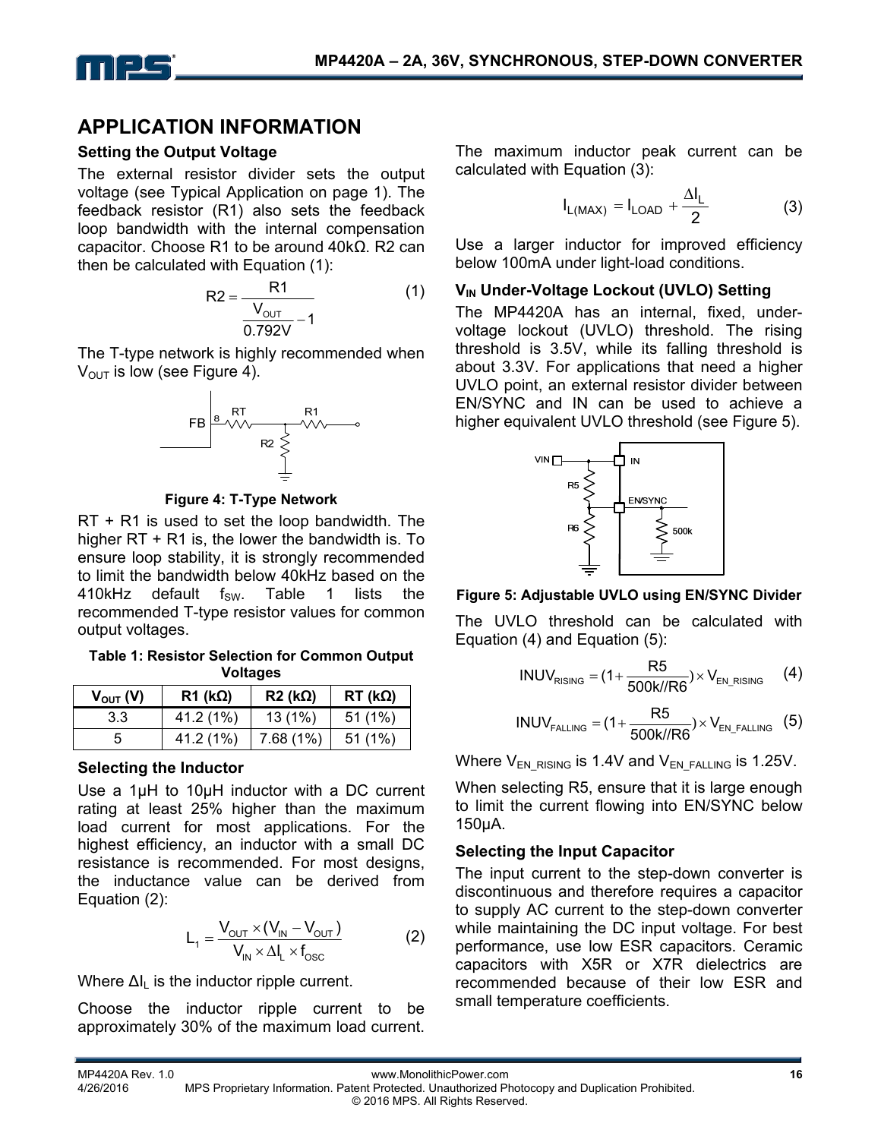

### **APPLICATION INFORMATION**

#### **Setting the Output Voltage**

The external resistor divider sets the output voltage (see Typical Application on page 1). The feedback resistor (R1) also sets the feedback loop bandwidth with the internal compensation capacitor. Choose R1 to be around 40kΩ. R2 can then be calculated with Equation (1):

$$
R2 = \frac{R1}{\frac{V_{\text{OUT}}}{0.792V} - 1}
$$
 (1)

The T-type network is highly recommended when  $V_{\text{OUT}}$  is low (see Figure 4).



**Figure 4: T-Type Network** 

RT + R1 is used to set the loop bandwidth. The higher RT + R1 is, the lower the bandwidth is. To ensure loop stability, it is strongly recommended to limit the bandwidth below 40kHz based on the 410kHz default  $f_{SW}$ . Table 1 lists the recommended T-type resistor values for common output voltages.

**Table 1: Resistor Selection for Common Output Voltages** 

| $V_{\text{OUT}}(V)$ | $R1$ (kΩ) | $R2$ (kΩ)   | $RT$ (k $\Omega$ ) |
|---------------------|-----------|-------------|--------------------|
| 33                  | 41.2 (1%) | 13(1%)      | 51(1%)             |
| 5                   | 41.2 (1%) | $7.68(1\%)$ | $51(1\%)$          |

#### **Selecting the Inductor**

Use a 1µH to 10µH inductor with a DC current rating at least 25% higher than the maximum load current for most applications. For the highest efficiency, an inductor with a small DC resistance is recommended. For most designs, the inductance value can be derived from Equation (2):

$$
L_1 = \frac{V_{\text{OUT}} \times (V_{\text{IN}} - V_{\text{OUT}})}{V_{\text{IN}} \times \Delta I_{\text{L}} \times f_{\text{osc}}}
$$
(2)

Where  $\Delta I_{\parallel}$  is the inductor ripple current.

Choose the inductor ripple current to be approximately 30% of the maximum load current.

The maximum inductor peak current can be calculated with Equation (3):

$$
I_{L(MAX)} = I_{LOAD} + \frac{\Delta I_L}{2}
$$
 (3)

Use a larger inductor for improved efficiency below 100mA under light-load conditions.

#### **V<sub>IN</sub>** Under-Voltage Lockout (UVLO) Setting

The MP4420A has an internal, fixed, undervoltage lockout (UVLO) threshold. The rising threshold is 3.5V, while its falling threshold is about 3.3V. For applications that need a higher UVLO point, an external resistor divider between EN/SYNC and IN can be used to achieve a higher equivalent UVLO threshold (see Figure 5).



#### **Figure 5: Adjustable UVLO using EN/SYNC Divider**

The UVLO threshold can be calculated with Equation (4) and Equation (5):

$$
INV_{RISING} = (1 + \frac{R5}{500k//R6}) \times V_{EN_RISING} \qquad (4)
$$

$$
INV_{\text{FALLING}} = (1 + \frac{R5}{500 \text{k/RR}}) \times V_{\text{EN\_FALLING}} \quad (5)
$$

Where  $V_{EN-RISING}$  is 1.4V and  $V_{EN-FALLING}$  is 1.25V.

When selecting R5, ensure that it is large enough to limit the current flowing into EN/SYNC below 150µA.

#### **Selecting the Input Capacitor**

The input current to the step-down converter is discontinuous and therefore requires a capacitor to supply AC current to the step-down converter while maintaining the DC input voltage. For best performance, use low ESR capacitors. Ceramic capacitors with X5R or X7R dielectrics are recommended because of their low ESR and small temperature coefficients.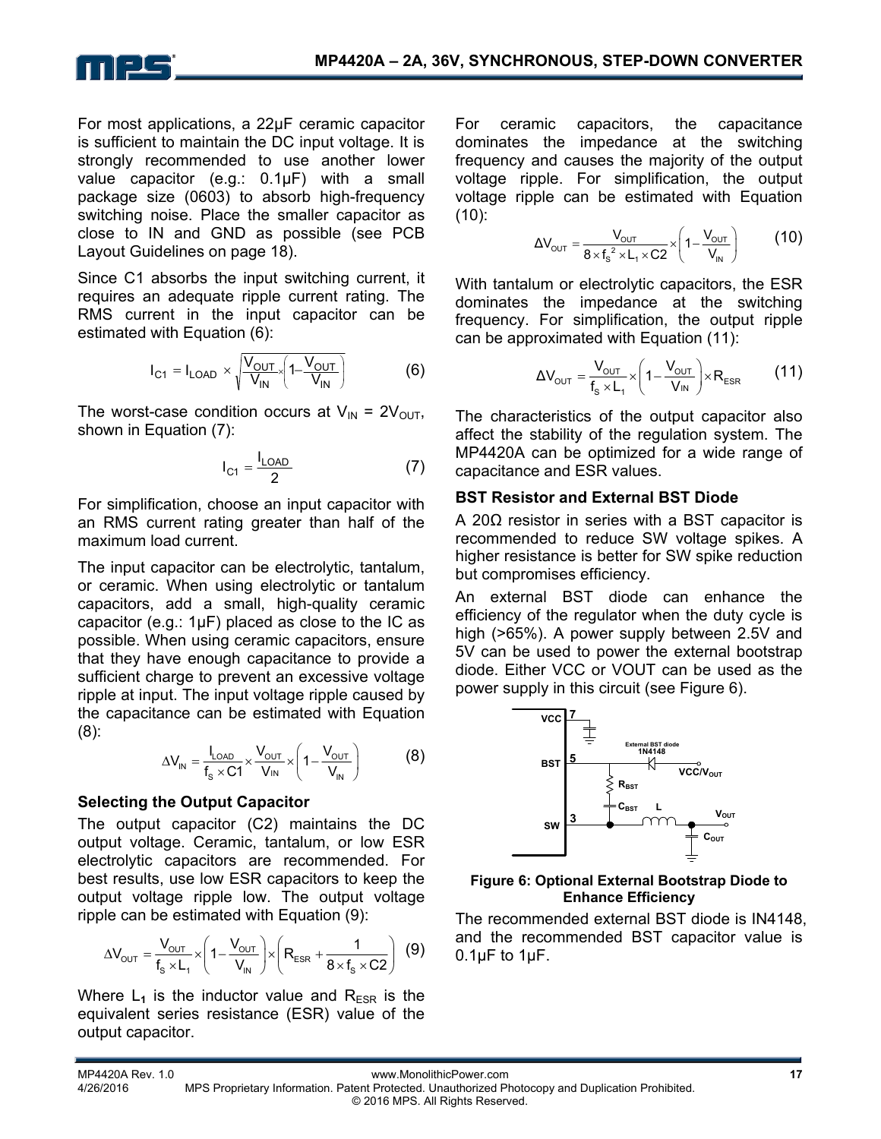

For most applications, a 22µF ceramic capacitor is sufficient to maintain the DC input voltage. It is strongly recommended to use another lower value capacitor (e.g.: 0.1µF) with a small package size (0603) to absorb high-frequency switching noise. Place the smaller capacitor as close to IN and GND as possible (see PCB Layout Guidelines on page 18).

Since C1 absorbs the input switching current, it requires an adequate ripple current rating. The RMS current in the input capacitor can be estimated with Equation (6):

$$
I_{C1} = I_{LOAD} \times \sqrt{\frac{V_{OUT}}{V_{IN}} \left(1 - \frac{V_{OUT}}{V_{IN}}\right)}
$$
 (6)

The worst-case condition occurs at  $V_{IN} = 2V_{OUT}$ , shown in Equation (7):

$$
I_{C1} = \frac{I_{LOAD}}{2}
$$
 (7)

For simplification, choose an input capacitor with an RMS current rating greater than half of the maximum load current.

The input capacitor can be electrolytic, tantalum, or ceramic. When using electrolytic or tantalum capacitors, add a small, high-quality ceramic capacitor (e.g.: 1μF) placed as close to the IC as possible. When using ceramic capacitors, ensure that they have enough capacitance to provide a sufficient charge to prevent an excessive voltage ripple at input. The input voltage ripple caused by the capacitance can be estimated with Equation (8):

$$
\Delta V_{IN} = \frac{I_{LOAD}}{f_s \times C1} \times \frac{V_{OUT}}{V_{IN}} \times \left(1 - \frac{V_{OUT}}{V_{IN}}\right) \tag{8}
$$

#### **Selecting the Output Capacitor**

The output capacitor (C2) maintains the DC output voltage. Ceramic, tantalum, or low ESR electrolytic capacitors are recommended. For best results, use low ESR capacitors to keep the output voltage ripple low. The output voltage ripple can be estimated with Equation (9):

$$
\Delta V_{\text{OUT}} = \frac{V_{\text{OUT}}}{f_s \times L_1} \times \left(1 - \frac{V_{\text{OUT}}}{V_{\text{IN}}}\right) \times \left(R_{\text{ESR}} + \frac{1}{8 \times f_s \times C2}\right) \tag{9}
$$

Where  $L_1$  is the inductor value and  $R_{ESR}$  is the equivalent series resistance (ESR) value of the output capacitor.

For ceramic capacitors, the capacitance dominates the impedance at the switching frequency and causes the majority of the output voltage ripple. For simplification, the output voltage ripple can be estimated with Equation  $(10)$ :

$$
\Delta V_{\text{out}} = \frac{V_{\text{out}}}{8 \times f_s^2 \times L_1 \times C2} \times \left(1 - \frac{V_{\text{out}}}{V_{\text{in}}}\right) \tag{10}
$$

With tantalum or electrolytic capacitors, the ESR dominates the impedance at the switching frequency. For simplification, the output ripple can be approximated with Equation (11):

$$
\Delta V_{\text{out}} = \frac{V_{\text{out}}}{f_s \times L_1} \times \left(1 - \frac{V_{\text{out}}}{V_{\text{IN}}}\right) \times R_{\text{ESR}} \tag{11}
$$

The characteristics of the output capacitor also affect the stability of the regulation system. The MP4420A can be optimized for a wide range of capacitance and ESR values.

#### **BST Resistor and External BST Diode**

A 20Ω resistor in series with a BST capacitor is recommended to reduce SW voltage spikes. A higher resistance is better for SW spike reduction but compromises efficiency.

An external BST diode can enhance the efficiency of the regulator when the duty cycle is high (>65%). A power supply between 2.5V and 5V can be used to power the external bootstrap diode. Either VCC or VOUT can be used as the power supply in this circuit (see Figure 6).



**Figure 6: Optional External Bootstrap Diode to Enhance Efficiency** 

The recommended external BST diode is IN4148, and the recommended BST capacitor value is  $0.1 \mu F$  to  $1 \mu F$ .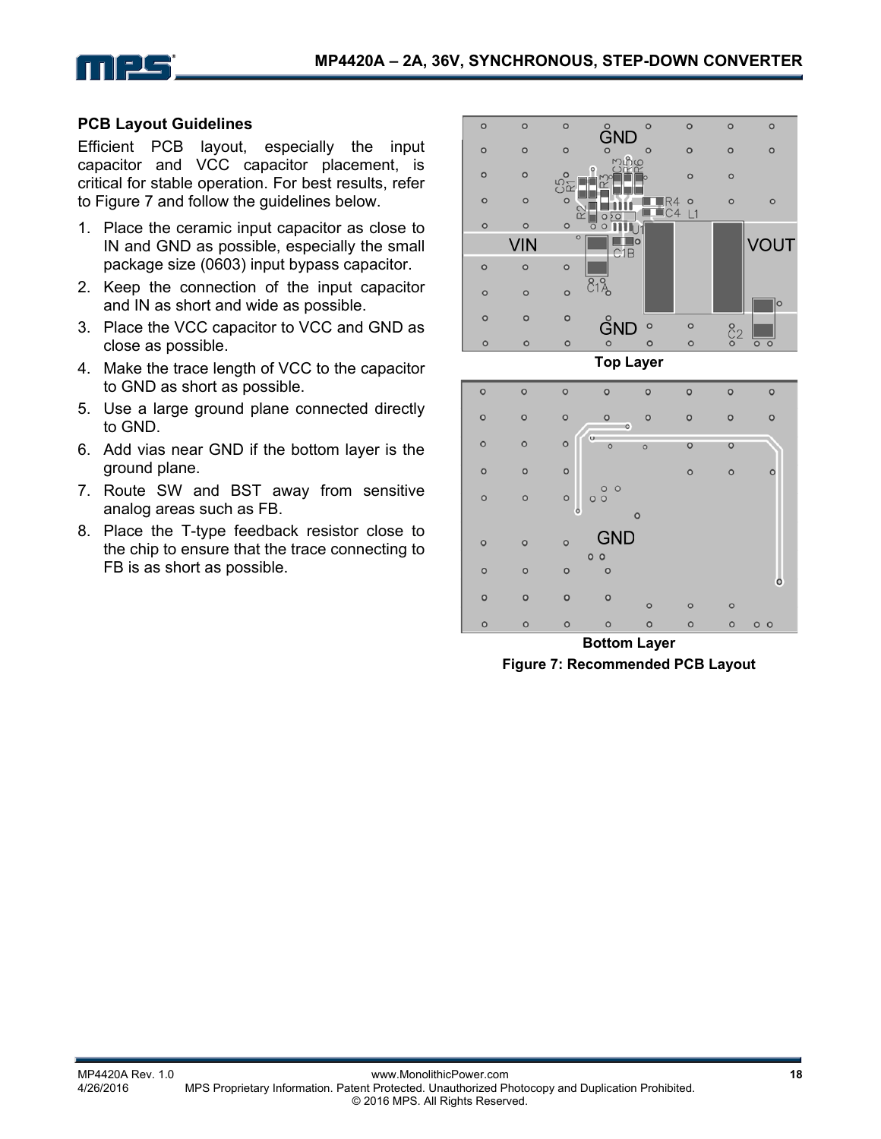



#### **PCB Layout Guidelines**

Efficient PCB layout, especially the input capacitor and VCC capacitor placement, is critical for stable operation. For best results, refer to Figure 7 and follow the guidelines below.

- 1. Place the ceramic input capacitor as close to IN and GND as possible, especially the small package size (0603) input bypass capacitor.
- 2. Keep the connection of the input capacitor and IN as short and wide as possible.
- 3. Place the VCC capacitor to VCC and GND as close as possible.
- 4. Make the trace length of VCC to the capacitor to GND as short as possible.
- 5. Use a large ground plane connected directly to GND.
- 6. Add vias near GND if the bottom layer is the ground plane.
- 7. Route SW and BST away from sensitive analog areas such as FB.
- 8. Place the T-type feedback resistor close to the chip to ensure that the trace connecting to FB is as short as possible.



**Top Layer** 



**Bottom Layer Figure 7: Recommended PCB Layout**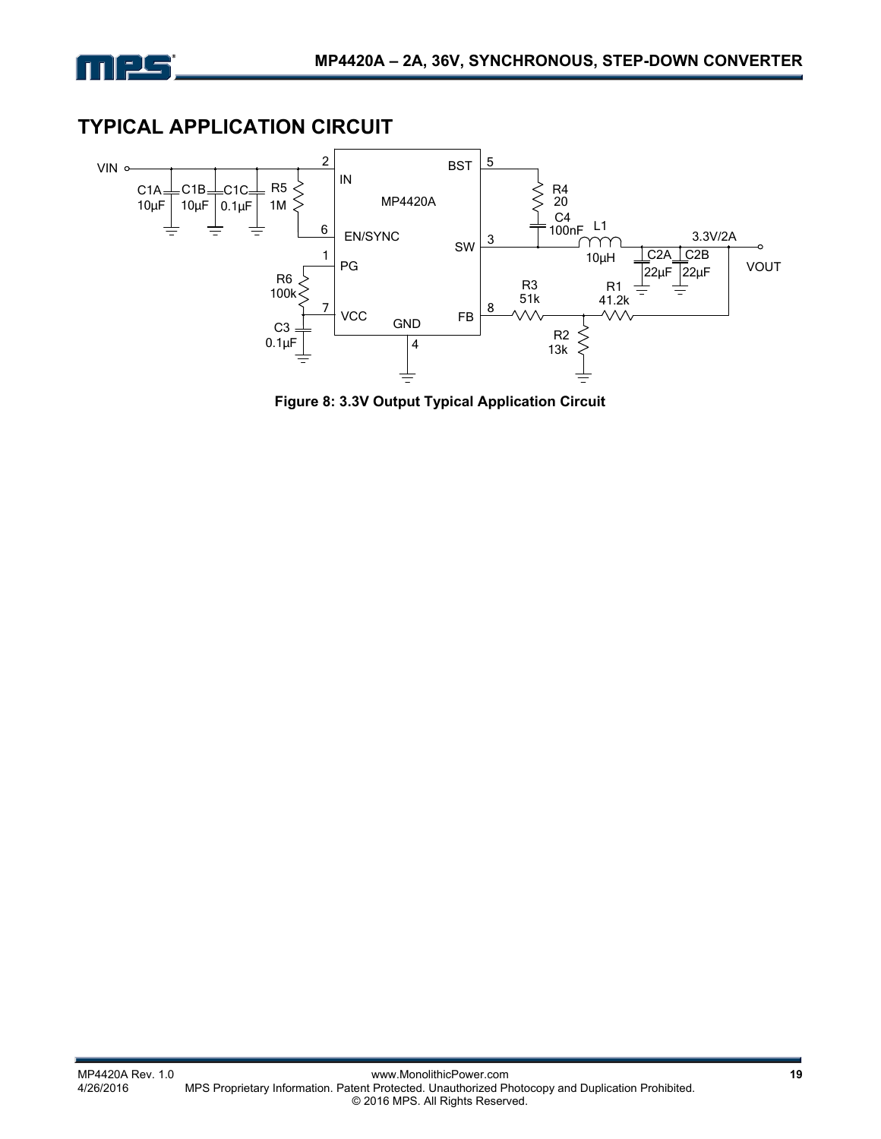

# **TYPICAL APPLICATION CIRCUIT**



**Figure 8: 3.3V Output Typical Application Circuit**